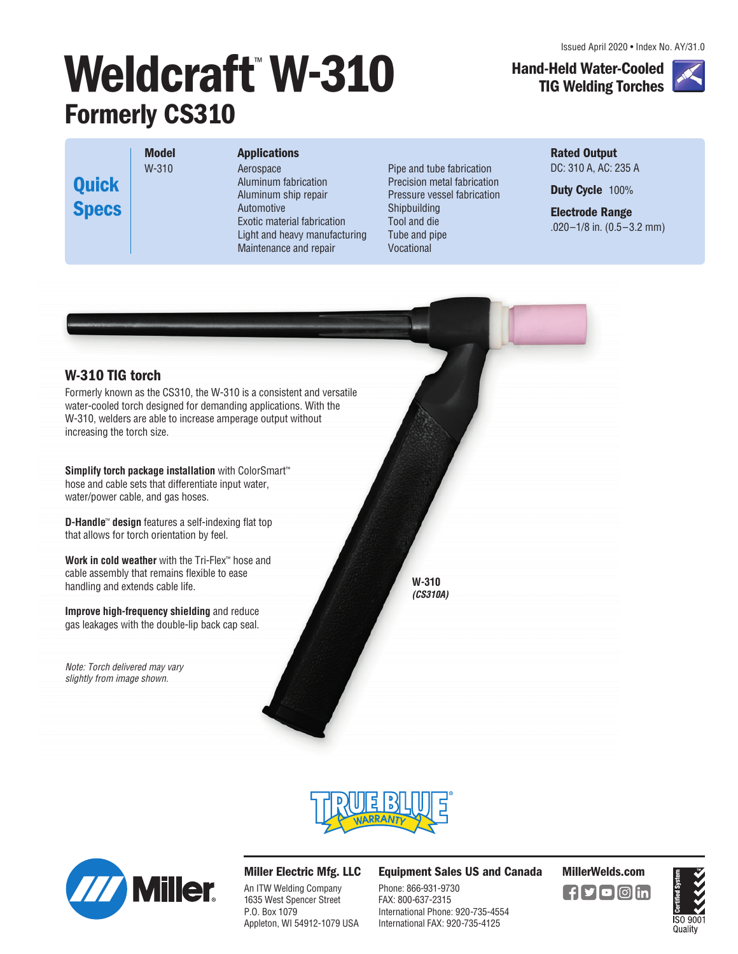Issued April 2020 • Index No. AY/31.0

# Weldcraft<sup>™</sup> W-310 **Formerly CS310**

**TIG Welding Torches**

**Hand-Held Water-Cooled** 

**Quick Specs** **Model**  W-310

### **Applications**

Aerospace Aluminum fabrication Aluminum ship repair Automotive Exotic material fabrication Light and heavy manufacturing Maintenance and repair

Pipe and tube fabrication Precision metal fabrication Pressure vessel fabrication Shipbuilding Tool and die Tube and pipe Vocational

**Rated Output**  DC: 310 A, AC: 235 A

**Duty Cycle** 100%

**Electrode Range**  .020–1/8 in. (0.5–3.2 mm)



Formerly known as the CS310, the W-310 is a consistent and versatile water-cooled torch designed for demanding applications. With the W-310, welders are able to increase amperage output without increasing the torch size.

**Simplify torch package installation** with ColorSmart™ hose and cable sets that differentiate input water, water/power cable, and gas hoses.

**D-Handle**™ **design** features a self-indexing flat top that allows for torch orientation by feel.

**Work in cold weather** with the Tri-Flex™ hose and cable assembly that remains flexible to ease handling and extends cable life.

**Improve high-frequency shielding** and reduce gas leakages with the double-lip back cap seal.

Note: Torch delivered may vary slightly from image shown.





#### **Miller Electric Mfg. LLC**

An ITW Welding Company 1635 West Spencer Street P.O. Box 1079 Appleton, WI 54912-1079 USA **Equipment Sales US and Canada MillerWelds.com**

Phone: 866-931-9730 FAX: 800-637-2315 International Phone: 920-735-4554 International FAX: 920-735-4125

**W-310 (CS310A)**



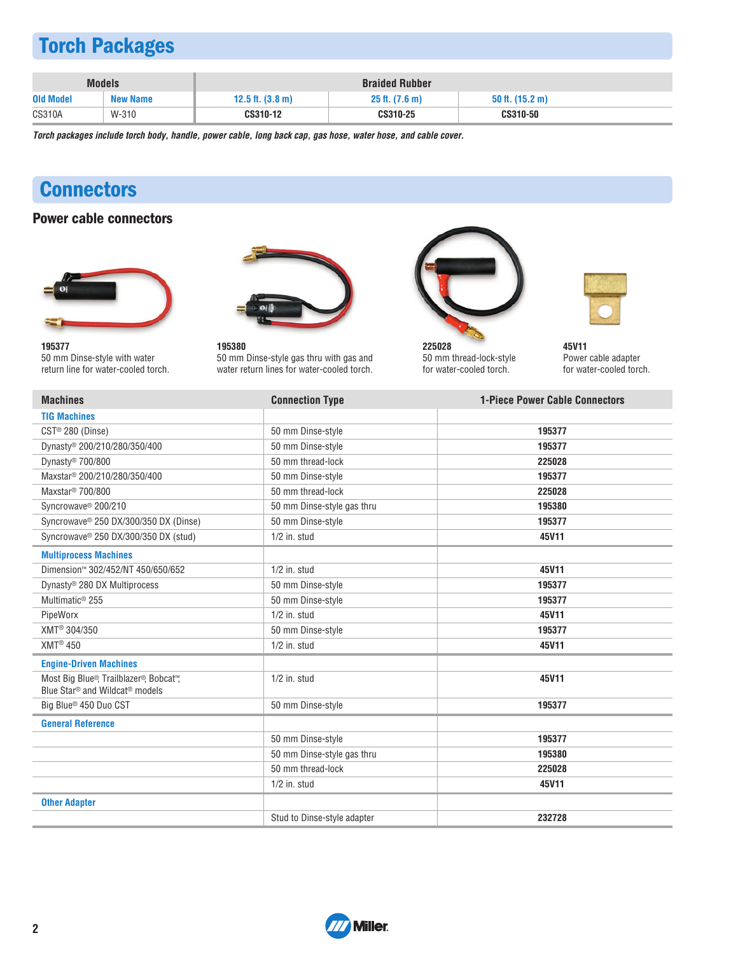# **Torch Packages**

|                  | <b>Models</b>   | <b>Braided Rubber</b>        |                     |                 |  |
|------------------|-----------------|------------------------------|---------------------|-----------------|--|
| <b>Old Model</b> | <b>New Name</b> | $12.5$ ft. $(3.8 \text{ m})$ | $25$ ft. $(7.6)$ m) | 50 ft. (15.2 m) |  |
| <b>CS310A</b>    | W-310           | CS310-12                     | CS310-25            | CS310-50        |  |

**Torch packages include torch body, handle, power cable, long back cap, gas hose, water hose, and cable cover.**

# **Connectors**

#### **Power cable connectors**





**195377**  50 mm Dinse-style with water return line for water-cooled torch.

**195380**  50 mm Dinse-style gas thru with gas and water return lines for water-cooled torch.



**225028**  50 mm thread-lock-style for water-cooled torch.



**45V11**  Power cable adapter for water-cooled torch.

| <b>Machines</b>                                                                                  | <b>Connection Type</b>      | <b>1-Piece Power Cable Connectors</b> |
|--------------------------------------------------------------------------------------------------|-----------------------------|---------------------------------------|
| <b>TIG Machines</b>                                                                              |                             |                                       |
| CST® 280 (Dinse)                                                                                 | 50 mm Dinse-style           | 195377                                |
| Dynasty® 200/210/280/350/400                                                                     | 50 mm Dinse-style           | 195377                                |
| Dynasty <sup>®</sup> 700/800                                                                     | 50 mm thread-lock           | 225028                                |
| Maxstar <sup>®</sup> 200/210/280/350/400                                                         | 50 mm Dinse-style           | 195377                                |
| Maxstar <sup>®</sup> 700/800                                                                     | 50 mm thread-lock           | 225028                                |
| Syncrowave <sup>®</sup> 200/210                                                                  | 50 mm Dinse-style gas thru  | 195380                                |
| Syncrowave® 250 DX/300/350 DX (Dinse)                                                            | 50 mm Dinse-style           | 195377                                |
| Syncrowave® 250 DX/300/350 DX (stud)                                                             | $1/2$ in. stud              | 45V11                                 |
| <b>Multiprocess Machines</b>                                                                     |                             |                                       |
| Dimension™ 302/452/NT 450/650/652                                                                | $1/2$ in. stud              | 45V11                                 |
| Dynasty® 280 DX Multiprocess                                                                     | 50 mm Dinse-style           | 195377                                |
| Multimatic <sup>®</sup> 255                                                                      | 50 mm Dinse-style           | 195377                                |
| PipeWorx                                                                                         | $1/2$ in. stud              | 45V11                                 |
| XMT <sup>®</sup> 304/350                                                                         | 50 mm Dinse-style           | 195377                                |
| XMT <sup>®</sup> 450                                                                             | $1/2$ in. stud              | 45V11                                 |
| <b>Engine-Driven Machines</b>                                                                    |                             |                                       |
| Most Big Blue®, Trailblazer®, Bobcat™,<br>Blue Star <sup>®</sup> and Wildcat <sup>®</sup> models | $1/2$ in. stud              | 45V11                                 |
| Big Blue <sup>®</sup> 450 Duo CST                                                                | 50 mm Dinse-style           | 195377                                |
| <b>General Reference</b>                                                                         |                             |                                       |
|                                                                                                  | 50 mm Dinse-style           | 195377                                |
|                                                                                                  | 50 mm Dinse-style gas thru  | 195380                                |
|                                                                                                  | 50 mm thread-lock           | 225028                                |
|                                                                                                  | $1/2$ in. stud              | 45V11                                 |
| <b>Other Adapter</b>                                                                             |                             |                                       |
|                                                                                                  | Stud to Dinse-style adapter | 232728                                |

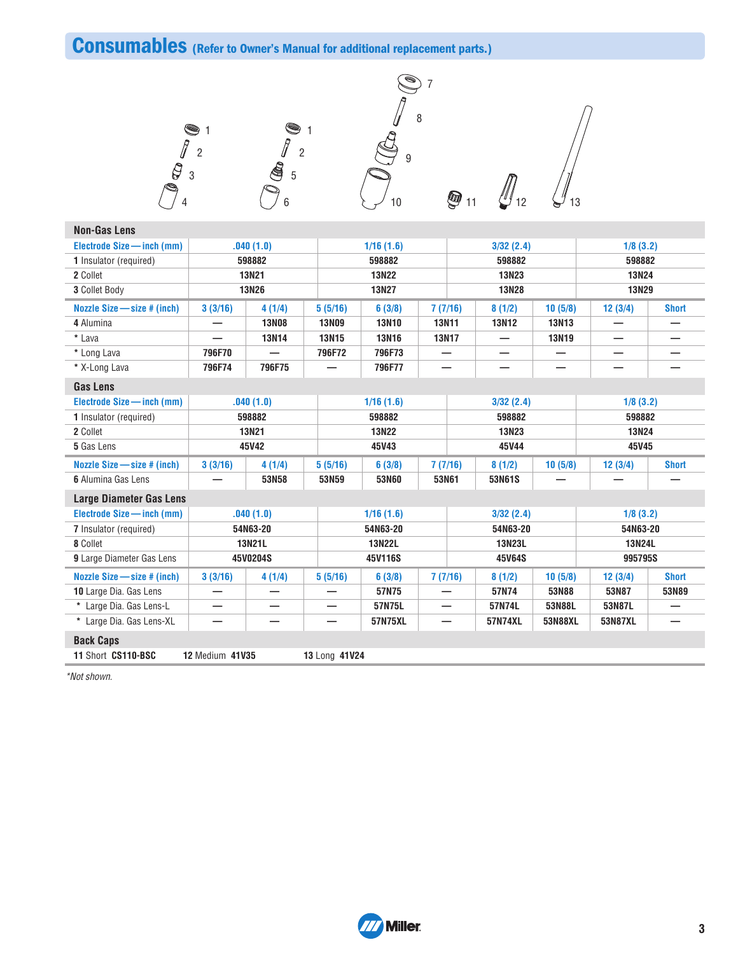# **Consumables (Refer to Owner's Manual for additional replacement parts.)**

6







 $\bigcirc$ <sub>11</sub>  $\bigcirc$ <sub>12</sub>  $\bigcirc$ <sub>13</sub>

| <b>Non-Gas Lens</b>              |                        |              |               |               |              |              |              |              |              |
|----------------------------------|------------------------|--------------|---------------|---------------|--------------|--------------|--------------|--------------|--------------|
| Electrode Size - inch (mm)       |                        | .040(1.0)    |               | 1/16(1.6)     |              | 3/32(2.4)    |              | 1/8(3.2)     |              |
| <b>1</b> Insulator (required)    |                        | 598882       |               | 598882        |              | 598882       |              | 598882       |              |
| 2 Collet                         |                        | <b>13N21</b> |               | <b>13N22</b>  |              | 13N23        |              | <b>13N24</b> |              |
| 3 Collet Body                    |                        | <b>13N26</b> |               | 13N27         |              | <b>13N28</b> |              | <b>13N29</b> |              |
| Nozzle Size – size # (inch)      | 3(3/16)                | 4(1/4)       | 5(5/16)       | 6(3/8)        | 7(7/16)      | 8(1/2)       | 10(5/8)      | 12(3/4)      | <b>Short</b> |
| 4 Alumina                        |                        | <b>13N08</b> | <b>13N09</b>  | <b>13N10</b>  | <b>13N11</b> | <b>13N12</b> | <b>13N13</b> |              |              |
| * Lava                           |                        | <b>13N14</b> | <b>13N15</b>  | <b>13N16</b>  | <b>13N17</b> | —            | 13N19        |              |              |
| * Long Lava                      | 796F70                 |              | 796F72        | 796F73        |              |              |              |              |              |
| * X-Long Lava                    | 796F74                 | 796F75       |               | 796F77        |              |              |              |              |              |
| <b>Gas Lens</b>                  |                        |              |               |               |              |              |              |              |              |
| Electrode Size - inch (mm)       |                        | .040(1.0)    |               | 1/16(1.6)     |              | 3/32(2.4)    |              | 1/8(3.2)     |              |
| 1 Insulator (required)           |                        | 598882       |               | 598882        |              | 598882       |              | 598882       |              |
| 2 Collet                         |                        | <b>13N21</b> |               | <b>13N22</b>  |              | 13N23        |              | <b>13N24</b> |              |
| 5 Gas Lens                       |                        | 45V42        |               | 45V43         |              | 45V44        |              | 45V45        |              |
| Nozzle Size - size # (inch)      | 3(3/16)                | 4(1/4)       | 5(5/16)       | 6(3/8)        | 7(7/16)      | 8(1/2)       | 10(5/8)      | 12(3/4)      | <b>Short</b> |
| 6 Alumina Gas Lens               |                        | 53N58        | 53N59         | 53N60         | 53N61        | 53N61S       |              |              |              |
| <b>Large Diameter Gas Lens</b>   |                        |              |               |               |              |              |              |              |              |
| Electrode Size - inch (mm)       |                        | .040(1.0)    |               | 1/16(1.6)     |              | 3/32(2.4)    |              | 1/8(3.2)     |              |
| 7 Insulator (required)           |                        | 54N63-20     |               | 54N63-20      |              | 54N63-20     |              | 54N63-20     |              |
| 8 Collet                         |                        | 13N21L       |               | <b>13N22L</b> |              | 13N23L       |              | 13N24L       |              |
| <b>9</b> Large Diameter Gas Lens |                        | 45V0204S     |               | 45V116S       |              | 45V64S       |              | 995795S      |              |
| Nozzle Size $-$ size $#$ (inch)  | 3(3/16)                | 4(1/4)       | 5(5/16)       | 6(3/8)        | 7(7/16)      | 8(1/2)       | 10(5/8)      | 12(3/4)      | <b>Short</b> |
| 10 Large Dia. Gas Lens           |                        |              |               | 57N75         |              | 57N74        | 53N88        | 53N87        | 53N89        |
| * Large Dia. Gas Lens-L          |                        |              |               | 57N75L        |              | 57N74L       | 53N88L       | 53N87L       |              |
| * Large Dia. Gas Lens-XL         | —                      | -            | -             | 57N75XL       |              | 57N74XL      | 53N88XL      | 53N87XL      |              |
| <b>Back Caps</b>                 |                        |              |               |               |              |              |              |              |              |
| 11 Short CS110-BSC               | <b>12 Medium 41V35</b> |              | 13 Long 41V24 |               |              |              |              |              |              |

\*Not shown.